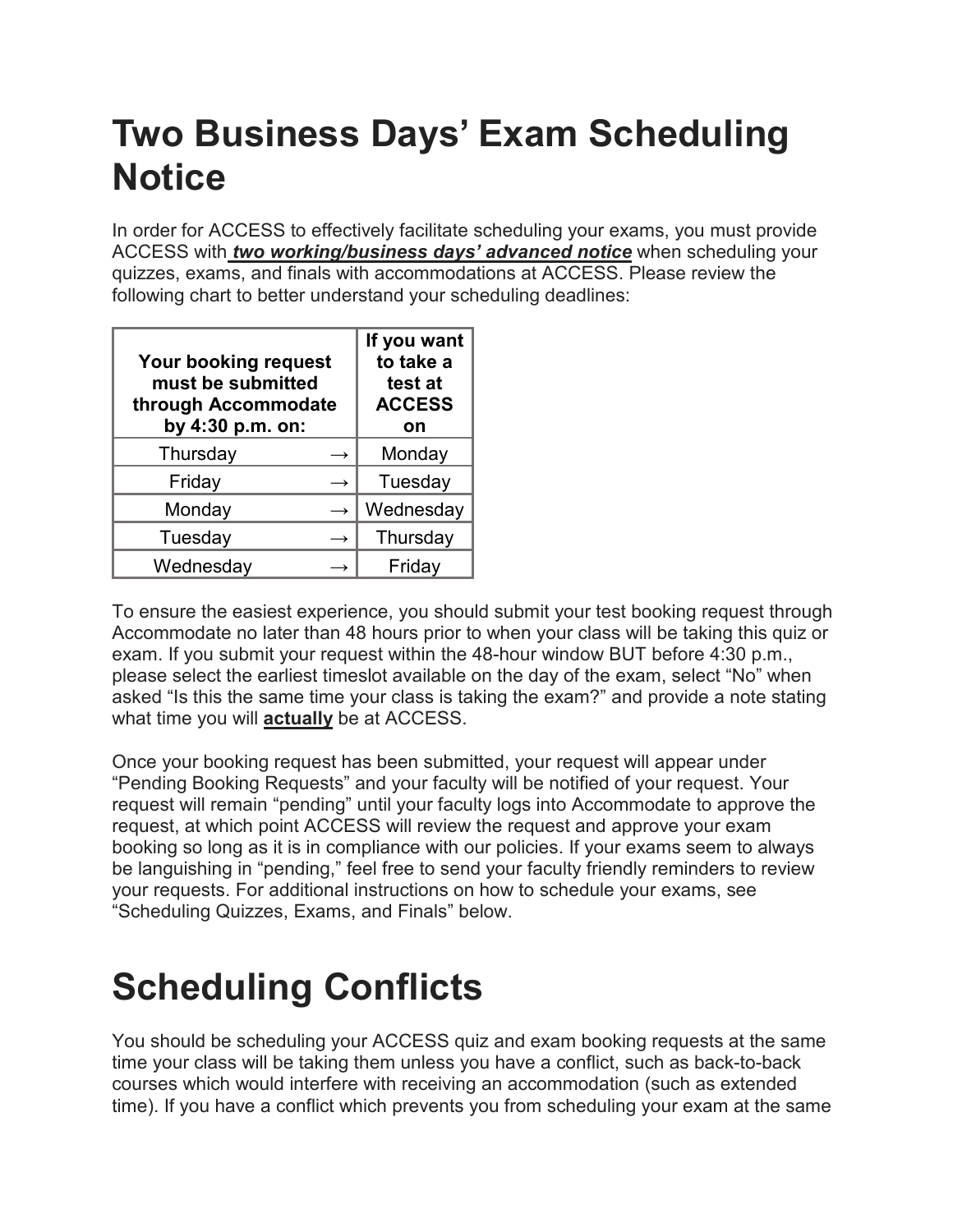## **Two Business Days' Exam Scheduling Notice**

In order for ACCESS to effectively facilitate scheduling your exams, you must provide ACCESS with *two working/business days' advanced notice* when scheduling your quizzes, exams, and finals with accommodations at ACCESS. Please review the following chart to better understand your scheduling deadlines:

| <b>Your booking request</b><br>must be submitted<br>through Accommodate<br>by 4:30 p.m. on: |               | If you want<br>to take a<br>test at<br><b>ACCESS</b><br>on |
|---------------------------------------------------------------------------------------------|---------------|------------------------------------------------------------|
| Thursday                                                                                    | →             | Monday                                                     |
| Friday                                                                                      | $\rightarrow$ | Tuesday                                                    |
| Monday                                                                                      | $\rightarrow$ | Wednesday                                                  |
| Tuesday                                                                                     |               | Thursday                                                   |
| Wednesday                                                                                   |               | Friday                                                     |

To ensure the easiest experience, you should submit your test booking request through Accommodate no later than 48 hours prior to when your class will be taking this quiz or exam. If you submit your request within the 48-hour window BUT before 4:30 p.m., please select the earliest timeslot available on the day of the exam, select "No" when asked "Is this the same time your class is taking the exam?" and provide a note stating what time you will **actually** be at ACCESS.

Once your booking request has been submitted, your request will appear under "Pending Booking Requests" and your faculty will be notified of your request. Your request will remain "pending" until your faculty logs into Accommodate to approve the request, at which point ACCESS will review the request and approve your exam booking so long as it is in compliance with our policies. If your exams seem to always be languishing in "pending," feel free to send your faculty friendly reminders to review your requests. For additional instructions on how to schedule your exams, see "Scheduling Quizzes, Exams, and Finals" below.

## **Scheduling Conflicts**

You should be scheduling your ACCESS quiz and exam booking requests at the same time your class will be taking them unless you have a conflict, such as back-to-back courses which would interfere with receiving an accommodation (such as extended time). If you have a conflict which prevents you from scheduling your exam at the same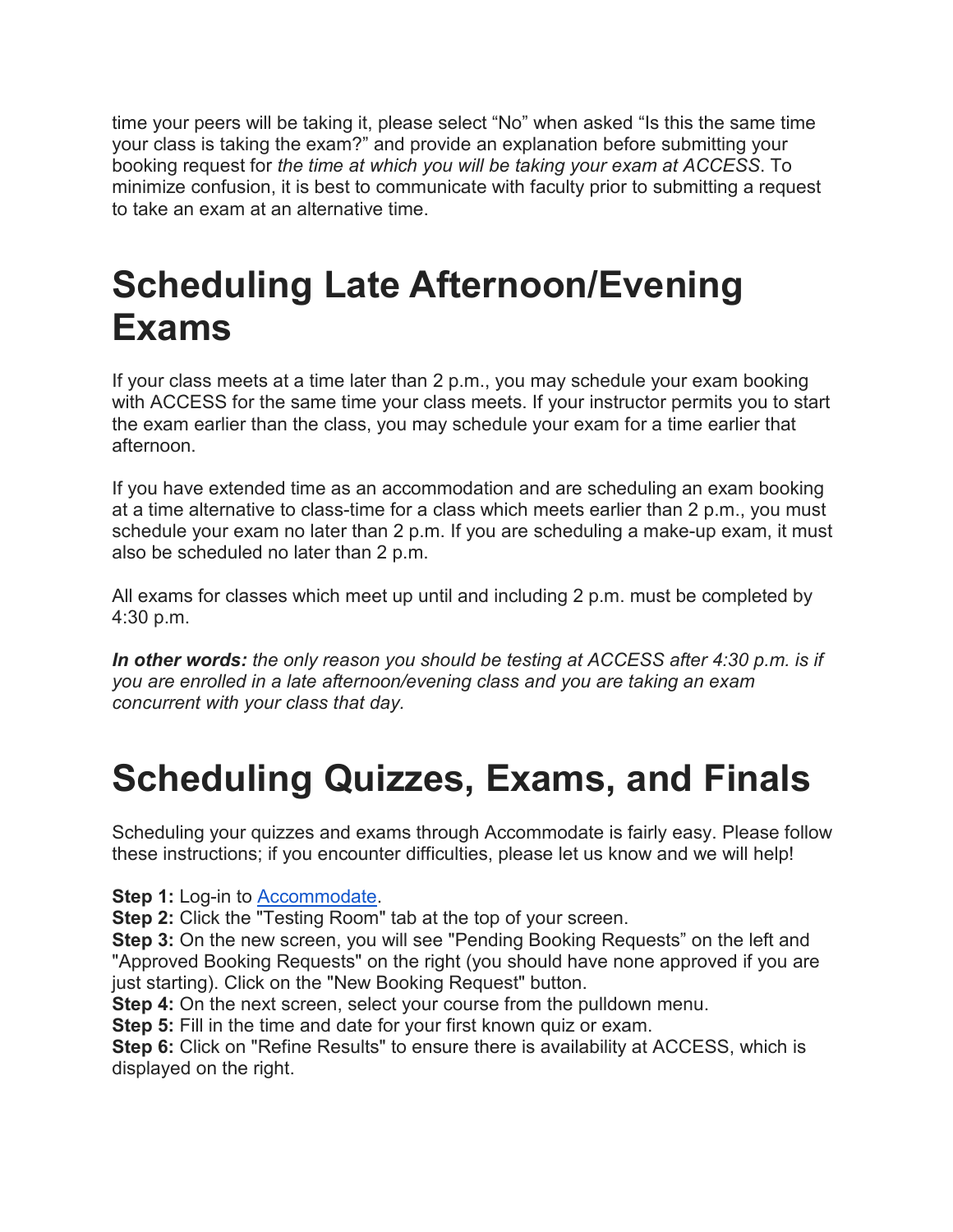time your peers will be taking it, please select "No" when asked "Is this the same time your class is taking the exam?" and provide an explanation before submitting your booking request for *the time at which you will be taking your exam at ACCESS*. To minimize confusion, it is best to communicate with faculty prior to submitting a request to take an exam at an alternative time.

## **Scheduling Late Afternoon/Evening Exams**

If your class meets at a time later than 2 p.m., you may schedule your exam booking with ACCESS for the same time your class meets. If your instructor permits you to start the exam earlier than the class, you may schedule your exam for a time earlier that afternoon.

If you have extended time as an accommodation and are scheduling an exam booking at a time alternative to class-time for a class which meets earlier than 2 p.m., you must schedule your exam no later than 2 p.m. If you are scheduling a make-up exam, it must also be scheduled no later than 2 p.m.

All exams for classes which meet up until and including 2 p.m. must be completed by 4:30 p.m.

*In other words: the only reason you should be testing at ACCESS after 4:30 p.m. is if you are enrolled in a late afternoon/evening class and you are taking an exam concurrent with your class that day.*

## **Scheduling Quizzes, Exams, and Finals**

Scheduling your quizzes and exams through Accommodate is fairly easy. Please follow these instructions; if you encounter difficulties, please let us know and we will help!

**Step 1:** Log-in to [Accommodate.](https://siue-accommodate.symplicity.com/)

**Step 2:** Click the "Testing Room" tab at the top of your screen.

**Step 3:** On the new screen, you will see "Pending Booking Requests" on the left and "Approved Booking Requests" on the right (you should have none approved if you are just starting). Click on the "New Booking Request" button.

**Step 4:** On the next screen, select your course from the pulldown menu.

**Step 5:** Fill in the time and date for your first known quiz or exam.

**Step 6:** Click on "Refine Results" to ensure there is availability at ACCESS, which is displayed on the right.